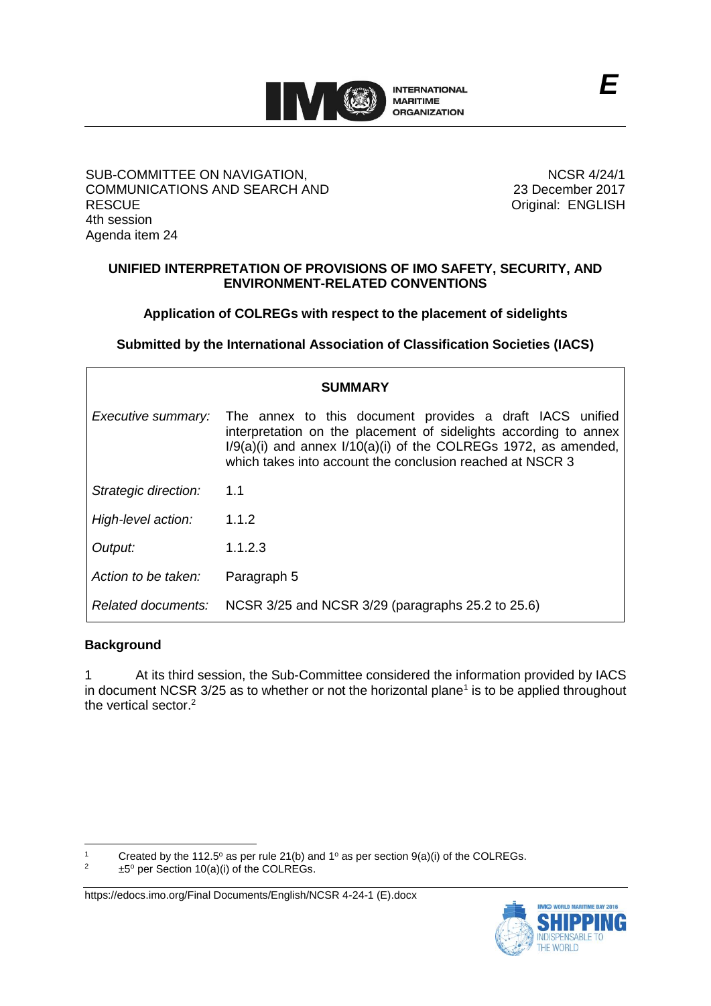

### SUB-COMMITTEE ON NAVIGATION, COMMUNICATIONS AND SEARCH AND **RESCUE** 4th session Agenda item 24

NCSR 4/24/1 23 December 2017 Original: ENGLISH

## **UNIFIED INTERPRETATION OF PROVISIONS OF IMO SAFETY, SECURITY, AND ENVIRONMENT-RELATED CONVENTIONS**

## **Application of COLREGs with respect to the placement of sidelights**

**Submitted by the International Association of Classification Societies (IACS)**

| <b>SUMMARY</b>       |                                                                                                                                                                                                                                                                  |
|----------------------|------------------------------------------------------------------------------------------------------------------------------------------------------------------------------------------------------------------------------------------------------------------|
| Executive summary:   | The annex to this document provides a draft IACS unified<br>interpretation on the placement of sidelights according to annex<br>$I/9(a)(i)$ and annex $I/10(a)(i)$ of the COLREGs 1972, as amended,<br>which takes into account the conclusion reached at NSCR 3 |
| Strategic direction: | 1.1                                                                                                                                                                                                                                                              |
| High-level action:   | 1.1.2                                                                                                                                                                                                                                                            |
| Output:              | 1.1.2.3                                                                                                                                                                                                                                                          |
| Action to be taken:  | Paragraph 5                                                                                                                                                                                                                                                      |
| Related documents:   | NCSR 3/25 and NCSR 3/29 (paragraphs 25.2 to 25.6)                                                                                                                                                                                                                |

### **Background**

 $\overline{a}$ 

1 At its third session, the Sub-Committee considered the information provided by IACS in document NCSR  $3/25$  as to whether or not the horizontal plane<sup>1</sup> is to be applied throughout the vertical sector. 2

1 Created by the 112.5° as per rule 21(b) and 1° as per section  $9(a)(i)$  of the COLREGs.<br> $\frac{2}{15}$  the Collaborate COLREGs

 $±5°$  per Section 10(a)(i) of the COLREGs.



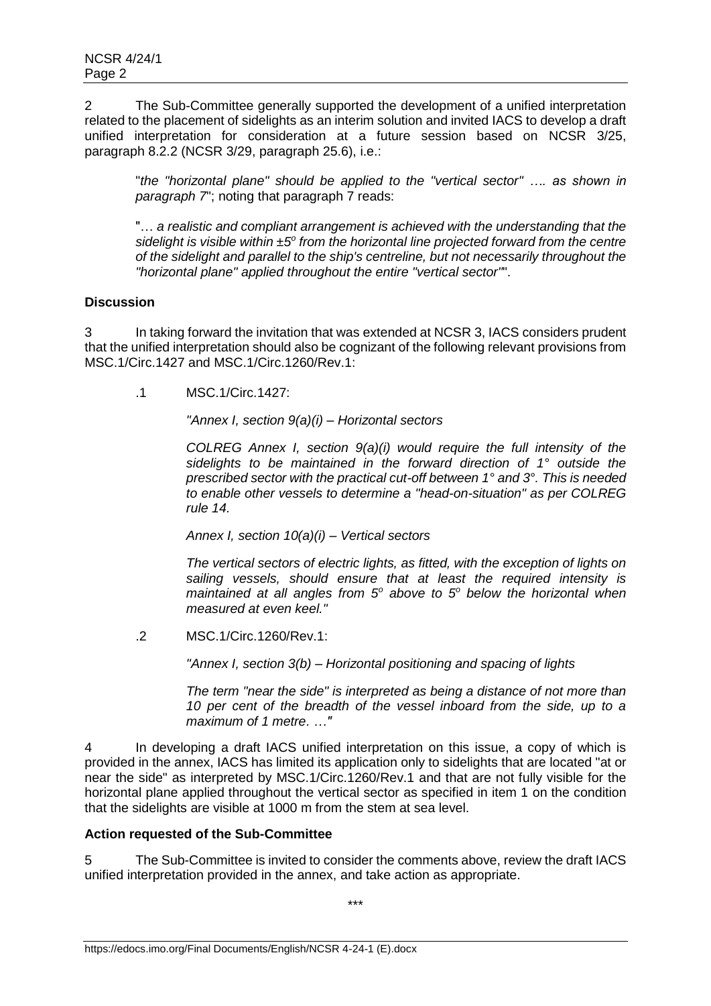2 The Sub-Committee generally supported the development of a unified interpretation related to the placement of sidelights as an interim solution and invited IACS to develop a draft unified interpretation for consideration at a future session based on NCSR 3/25, paragraph 8.2.2 (NCSR 3/29, paragraph 25.6), i.e.:

"*the "horizontal plane" should be applied to the "vertical sector" …. as shown in paragraph 7*"; noting that paragraph 7 reads:

"… *a realistic and compliant arrangement is achieved with the understanding that the sidelight is visible within*  $\pm 5^{\circ}$  from the horizontal line projected forward from the centre *of the sidelight and parallel to the ship's centreline, but not necessarily throughout the "horizontal plane" applied throughout the entire "vertical sector"*".

## **Discussion**

3 In taking forward the invitation that was extended at NCSR 3, IACS considers prudent that the unified interpretation should also be cognizant of the following relevant provisions from MSC.1/Circ.1427 and MSC.1/Circ.1260/Rev.1:

.1 MSC.1/Circ.1427:

*"Annex I, section 9(a)(i) – Horizontal sectors*

*COLREG Annex I, section 9(a)(i) would require the full intensity of the sidelights to be maintained in the forward direction of 1° outside the prescribed sector with the practical cut-off between 1° and 3°. This is needed to enable other vessels to determine a "head-on-situation" as per COLREG rule 14.*

*Annex I, section 10(a)(i) – Vertical sectors*

*The vertical sectors of electric lights, as fitted, with the exception of lights on sailing vessels, should ensure that at least the required intensity is maintained at all angles from 5<sup>o</sup> above to 5<sup>o</sup> below the horizontal when measured at even keel."*

.2 MSC.1/Circ.1260/Rev.1:

*"Annex I, section 3(b) – Horizontal positioning and spacing of lights*

*The term "near the side" is interpreted as being a distance of not more than 10 per cent of the breadth of the vessel inboard from the side, up to a maximum of 1 metre. …"*

4 In developing a draft IACS unified interpretation on this issue, a copy of which is provided in the annex, IACS has limited its application only to sidelights that are located "at or near the side" as interpreted by MSC.1/Circ.1260/Rev.1 and that are not fully visible for the horizontal plane applied throughout the vertical sector as specified in item 1 on the condition that the sidelights are visible at 1000 m from the stem at sea level.

# **Action requested of the Sub-Committee**

5 The Sub-Committee is invited to consider the comments above, review the draft IACS unified interpretation provided in the annex, and take action as appropriate.

\*\*\*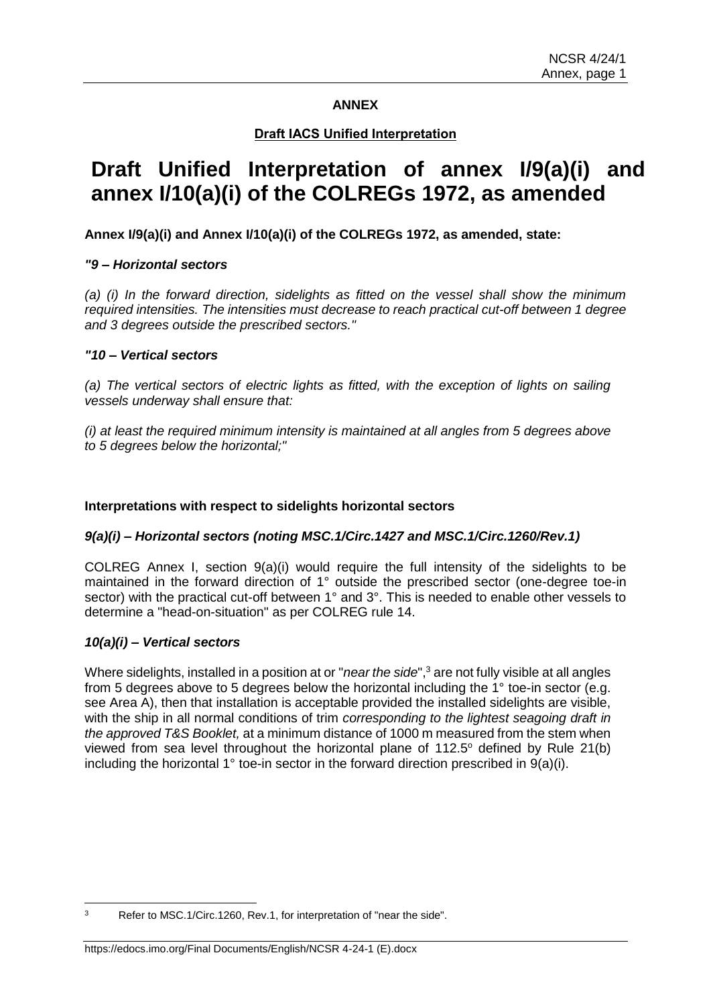### **ANNEX**

## **Draft IACS Unified Interpretation**

# **Draft Unified Interpretation of annex I/9(a)(i) and annex I/10(a)(i) of the COLREGs 1972, as amended**

## **Annex I/9(a)(i) and Annex I/10(a)(i) of the COLREGs 1972, as amended, state:**

### *"9 – Horizontal sectors*

*(a) (i) In the forward direction, sidelights as fitted on the vessel shall show the minimum required intensities. The intensities must decrease to reach practical cut-off between 1 degree and 3 degrees outside the prescribed sectors."*

### *"10 – Vertical sectors*

*(a) The vertical sectors of electric lights as fitted, with the exception of lights on sailing vessels underway shall ensure that:*

*(i) at least the required minimum intensity is maintained at all angles from 5 degrees above to 5 degrees below the horizontal;"*

### **Interpretations with respect to sidelights horizontal sectors**

### *9(a)(i) – Horizontal sectors (noting MSC.1/Circ.1427 and MSC.1/Circ.1260/Rev.1)*

COLREG Annex I, section 9(a)(i) would require the full intensity of the sidelights to be maintained in the forward direction of 1° outside the prescribed sector (one-degree toe-in sector) with the practical cut-off between 1° and 3°. This is needed to enable other vessels to determine a "head-on-situation" as per COLREG rule 14.

### *10(a)(i) – Vertical sectors*

Where sidelights, installed in a position at or "*near the side*", <sup>3</sup> are not fully visible at all angles from 5 degrees above to 5 degrees below the horizontal including the 1° toe-in sector (e.g. see Area A), then that installation is acceptable provided the installed sidelights are visible, with the ship in all normal conditions of trim *corresponding to the lightest seagoing draft in the approved T&S Booklet,* at a minimum distance of 1000 m measured from the stem when viewed from sea level throughout the horizontal plane of  $112.5^\circ$  defined by Rule 21(b) including the horizontal 1° toe-in sector in the forward direction prescribed in 9(a)(i).

 $\overline{\mathbf{a}}$ Refer to MSC.1/Circ.1260, Rev.1, for interpretation of "near the side".